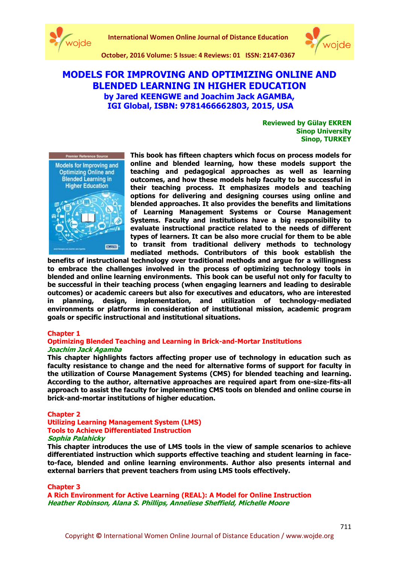



# **MODELS FOR IMPROVING AND OPTIMIZING ONLINE AND BLENDED LEARNING IN HIGHER EDUCATION by Jared KEENGWE and Joachim Jack AGAMBA, IGI Global, ISBN: 9781466662803, 2015, USA**

**Reviewed by Gülay EKREN Sinop University Sinop, TURKEY**



**This book has fifteen chapters which focus on process models for online and blended learning, how these models support the teaching and pedagogical approaches as well as learning outcomes, and how these models help faculty to be successful in their teaching process. It emphasizes models and teaching options for delivering and designing courses using online and blended approaches. It also provides the benefits and limitations of Learning Management Systems or Course Management Systems. Faculty and institutions have a big responsibility to evaluate instructional practice related to the needs of different types of learners. It can be also more crucial for them to be able to transit from traditional delivery methods to technology mediated methods. Contributors of this book establish the** 

**benefits of instructional technology over traditional methods and argue for a willingness to embrace the challenges involved in the process of optimizing technology tools in blended and online learning environments. This book can be useful not only for faculty to be successful in their teaching process (when engaging learners and leading to desirable outcomes) or academic careers but also for executives and educators, who are interested in planning, design, implementation, and utilization of technology-mediated environments or platforms in consideration of institutional mission, academic program goals or specific instructional and institutional situations.**

#### **Chapter 1**

## **Optimizing Blended Teaching and Learning in Brick-and-Mortar Institutions Joachim Jack Agamba**

**This chapter highlights factors affecting proper use of technology in education such as faculty resistance to change and the need for alternative forms of support for faculty in the utilization of Course Management Systems (CMS) for blended teaching and learning. According to the author, alternative approaches are required apart from one-size-fits-all approach to assist the faculty for implementing CMS tools on blended and online course in brick-and-mortar institutions of higher education.**

# **Chapter 2**

#### **Utilizing Learning Management System (LMS) Tools to Achieve Differentiated Instruction Sophia Palahicky**

**This chapter introduces the use of LMS tools in the view of sample scenarios to achieve differentiated instruction which supports effective teaching and student learning in faceto-face, blended and online learning environments. Author also presents internal and external barriers that prevent teachers from using LMS tools effectively.**

#### **Chapter 3**

**A Rich Environment for Active Learning (REAL): A Model for Online Instruction Heather Robinson, Alana S. Phillips, Anneliese Sheffield, Michelle Moore**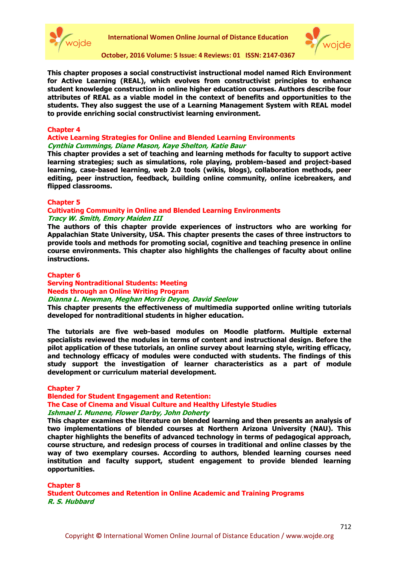



**This chapter proposes a social constructivist instructional model named Rich Environment for Active Learning (REAL), which evolves from constructivist principles to enhance student knowledge construction in online higher education courses. Authors describe four attributes of REAL as a viable model in the context of benefits and opportunities to the students. They also suggest the use of a Learning Management System with REAL model to provide enriching social constructivist learning environment.**

## **Chapter 4**

## **Active Learning Strategies for Online and Blended Learning Environments Cynthia Cummings, Diane Mason, Kaye Shelton, Katie Baur**

**This chapter provides a set of teaching and learning methods for faculty to support active learning strategies; such as simulations, role playing, problem-based and project-based learning, case-based learning, web 2.0 tools (wikis, blogs), collaboration methods, peer editing, peer instruction, feedback, building online community, online icebreakers, and flipped classrooms.**

#### **Chapter 5**

## **Cultivating Community in Online and Blended Learning Environments Tracy W. Smith, Emory Maiden III**

**The authors of this chapter provide experiences of instructors who are working for Appalachian State University, USA. This chapter presents the cases of three instructors to provide tools and methods for promoting social, cognitive and teaching presence in online course environments. This chapter also highlights the challenges of faculty about online instructions.** 

#### **Chapter 6**

## **Serving Nontraditional Students: Meeting Needs through an Online Writing Program**

**Dianna L. Newman, Meghan Morris Deyoe, David Seelow**

**This chapter presents the effectiveness of multimedia supported online writing tutorials developed for nontraditional students in higher education.** 

**The tutorials are five web-based modules on Moodle platform. Multiple external specialists reviewed the modules in terms of content and instructional design. Before the pilot application of these tutorials, an online survey about learning style, writing efficacy, and technology efficacy of modules were conducted with students. The findings of this study support the investigation of learner characteristics as a part of module development or curriculum material development.** 

#### **Chapter 7**

**Blended for Student Engagement and Retention: The Case of Cinema and Visual Culture and Healthy Lifestyle Studies Ishmael I. Munene, Flower Darby, John Doherty**

**This chapter examines the literature on blended learning and then presents an analysis of two implementations of blended courses at Northern Arizona University (NAU). This chapter highlights the benefits of advanced technology in terms of pedagogical approach, course structure, and redesign process of courses in traditional and online classes by the way of two exemplary courses. According to authors, blended learning courses need institution and faculty support, student engagement to provide blended learning opportunities.**

**Chapter 8 Student Outcomes and Retention in Online Academic and Training Programs R. S. Hubbard**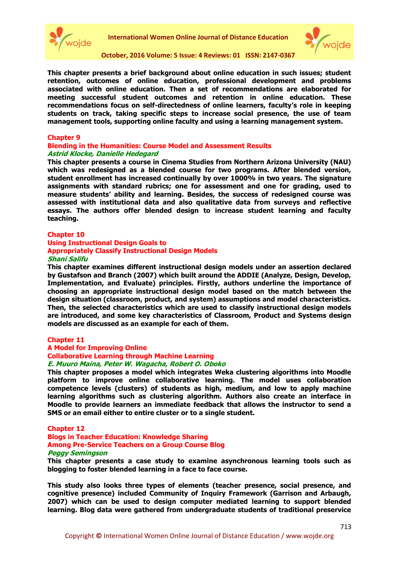



**This chapter presents a brief background about online education in such issues; student retention, outcomes of online education, professional development and problems associated with online education. Then a set of recommendations are elaborated for meeting successful student outcomes and retention in online education. These recommendations focus on self-directedness of online learners, faculty's role in keeping students on track, taking specific steps to increase social presence, the use of team management tools, supporting online faculty and using a learning management system.** 

#### **Chapter 9**

#### **Blending in the Humanities: Course Model and Assessment Results Astrid Klocke, Danielle Hedegard**

**This chapter presents a course in Cinema Studies from Northern Arizona University (NAU) which was redesigned as a blended course for two programs. After blended version, student enrollment has increased continually by over 1000% in two years. The signature assignments with standard rubrics; one for assessment and one for grading, used to measure students' ability and learning. Besides, the success of redesigned course was assessed with institutional data and also qualitative data from surveys and reflective essays. The authors offer blended design to increase student learning and faculty teaching.**

#### **Chapter 10**

## **Using Instructional Design Goals to Appropriately Classify Instructional Design Models Shani Salifu**

**This chapter examines different instructional design models under an assertion declared by Gustafson and Branch (2007) which built around the ADDIE (Analyze, Design, Develop, Implementation, and Evaluate) principles. Firstly, authors underline the importance of choosing an appropriate instructional design model based on the match between the design situation (classroom, product, and system) assumptions and model characteristics. Then, the selected characteristics which are used to classify instructional design models are introduced, and some key characteristics of Classroom, Product and Systems design models are discussed as an example for each of them.** 

#### **Chapter 11**

#### **A Model for Improving Online**

# **Collaborative Learning through Machine Learning**

#### **E. Muuro Maina, Peter W. Wagacha, Robert O. Oboko**

**This chapter proposes a model which integrates Weka clustering algorithms into Moodle platform to improve online collaborative learning. The model uses collaboration competence levels (clusters) of students as high, medium, and low to apply machine learning algorithms such as clustering algorithm. Authors also create an interface in Moodle to provide learners an immediate feedback that allows the instructor to send a SMS or an email either to entire cluster or to a single student.** 

#### **Chapter 12**

## **Blogs in Teacher Education: Knowledge Sharing Among Pre-Service Teachers on a Group Course Blog Peggy Semingson**

**This chapter presents a case study to examine asynchronous learning tools such as blogging to foster blended learning in a face to face course.** 

**This study also looks three types of elements (teacher presence, social presence, and cognitive presence) included Community of Inquiry Framework (Garrison and Arbaugh, 2007) which can be used to design computer mediated learning to support blended learning. Blog data were gathered from undergraduate students of traditional preservice**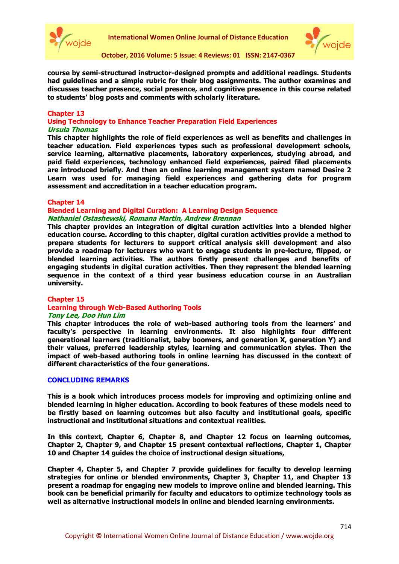



**course by semi-structured instructor-designed prompts and additional readings. Students had guidelines and a simple rubric for their blog assignments. The author examines and discusses teacher presence, social presence, and cognitive presence in this course related to students' blog posts and comments with scholarly literature.**

## **Chapter 13**

**Using Technology to Enhance Teacher Preparation Field Experiences Ursula Thomas**

**This chapter highlights the role of field experiences as well as benefits and challenges in teacher education. Field experiences types such as professional development schools, service learning, alternative placements, laboratory experiences, studying abroad, and paid field experiences, technology enhanced field experiences, paired filed placements are introduced briefly. And then an online learning management system named Desire 2 Learn was used for managing field experiences and gathering data for program assessment and accreditation in a teacher education program.**

## **Chapter 14**

### **Blended Learning and Digital Curation: A Learning Design Sequence Nathaniel Ostashewski, Romana Martin, Andrew Brennan**

**This chapter provides an integration of digital curation activities into a blended higher education course. According to this chapter, digital curation activities provide a method to prepare students for lecturers to support critical analysis skill development and also provide a roadmap for lecturers who want to engage students in pre-lecture, flipped, or blended learning activities. The authors firstly present challenges and benefits of engaging students in digital curation activities. Then they represent the blended learning sequence in the context of a third year business education course in an Australian university.** 

#### **Chapter 15**

## **Learning through Web-Based Authoring Tools**

#### **Tony Lee, Doo Hun Lim**

**This chapter introduces the role of web-based authoring tools from the learners' and faculty's perspective in learning environments. It also highlights four different generational learners (traditionalist, baby boomers, and generation X, generation Y) and their values, preferred leadership styles, learning and communication styles. Then the impact of web-based authoring tools in online learning has discussed in the context of different characteristics of the four generations.**

#### **CONCLUDING REMARKS**

**This is a book which introduces process models for improving and optimizing online and blended learning in higher education. According to book features of these models need to be firstly based on learning outcomes but also faculty and institutional goals, specific instructional and institutional situations and contextual realities.** 

**In this context, Chapter 6, Chapter 8, and Chapter 12 focus on learning outcomes, Chapter 2, Chapter 9, and Chapter 15 present contextual reflections, Chapter 1, Chapter 10 and Chapter 14 guides the choice of instructional design situations,** 

**Chapter 4, Chapter 5, and Chapter 7 provide guidelines for faculty to develop learning strategies for online or blended environments, Chapter 3, Chapter 11, and Chapter 13 present a roadmap for engaging new models to improve online and blended learning. This book can be beneficial primarily for faculty and educators to optimize technology tools as well as alternative instructional models in online and blended learning environments.**